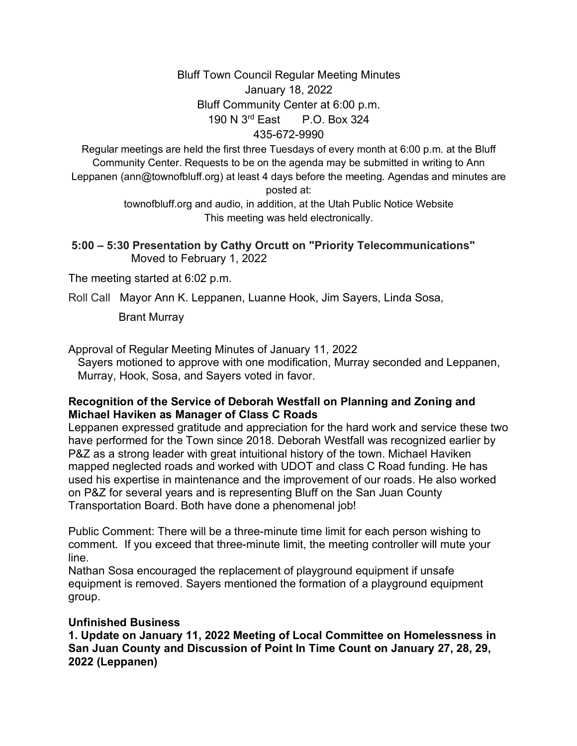#### Bluff Town Council Regular Meeting Minutes January 18, 2022 Bluff Community Center at 6:00 p.m. 190 N 3rd East P.O. Box 324

#### 435-672-9990

Regular meetings are held the first three Tuesdays of every month at 6:00 p.m. at the Bluff Community Center. Requests to be on the agenda may be submitted in writing to Ann Leppanen (ann@townofbluff.org) at least 4 days before the meeting. Agendas and minutes are posted at:

> townofbluff.org and audio, in addition, at the Utah Public Notice Website This meeting was held electronically.

**5:00 – 5:30 Presentation by Cathy Orcutt on "Priority Telecommunications"** Moved to February 1, 2022

The meeting started at 6:02 p.m.

Roll Call Mayor Ann K. Leppanen, Luanne Hook, Jim Sayers, Linda Sosa,

Brant Murray

Approval of Regular Meeting Minutes of January 11, 2022

 Sayers motioned to approve with one modification, Murray seconded and Leppanen, Murray, Hook, Sosa, and Sayers voted in favor.

#### **Recognition of the Service of Deborah Westfall on Planning and Zoning and Michael Haviken as Manager of Class C Roads**

Leppanen expressed gratitude and appreciation for the hard work and service these two have performed for the Town since 2018. Deborah Westfall was recognized earlier by P&Z as a strong leader with great intuitional history of the town. Michael Haviken mapped neglected roads and worked with UDOT and class C Road funding. He has used his expertise in maintenance and the improvement of our roads. He also worked on P&Z for several years and is representing Bluff on the San Juan County Transportation Board. Both have done a phenomenal job!

Public Comment: There will be a three-minute time limit for each person wishing to comment. If you exceed that three-minute limit, the meeting controller will mute your line.

Nathan Sosa encouraged the replacement of playground equipment if unsafe equipment is removed. Sayers mentioned the formation of a playground equipment group.

#### **Unfinished Business**

**1. Update on January 11, 2022 Meeting of Local Committee on Homelessness in San Juan County and Discussion of Point In Time Count on January 27, 28, 29, 2022 (Leppanen)**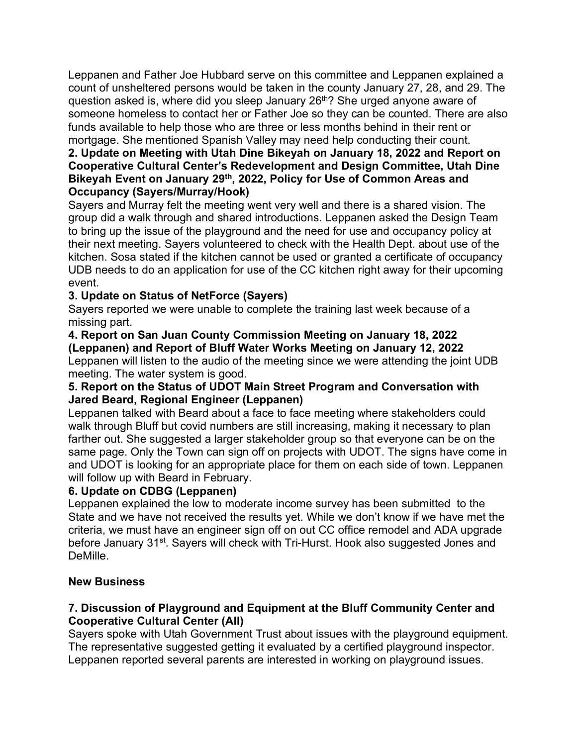Leppanen and Father Joe Hubbard serve on this committee and Leppanen explained a count of unsheltered persons would be taken in the county January 27, 28, and 29. The question asked is, where did you sleep January 26<sup>th</sup>? She urged anyone aware of someone homeless to contact her or Father Joe so they can be counted. There are also funds available to help those who are three or less months behind in their rent or mortgage. She mentioned Spanish Valley may need help conducting their count.

# **2. Update on Meeting with Utah Dine Bikeyah on January 18, 2022 and Report on Cooperative Cultural Center's Redevelopment and Design Committee, Utah Dine Bikeyah Event on January 29th, 2022, Policy for Use of Common Areas and Occupancy (Sayers/Murray/Hook)**

Sayers and Murray felt the meeting went very well and there is a shared vision. The group did a walk through and shared introductions. Leppanen asked the Design Team to bring up the issue of the playground and the need for use and occupancy policy at their next meeting. Sayers volunteered to check with the Health Dept. about use of the kitchen. Sosa stated if the kitchen cannot be used or granted a certificate of occupancy UDB needs to do an application for use of the CC kitchen right away for their upcoming event.

# **3. Update on Status of NetForce (Sayers)**

Sayers reported we were unable to complete the training last week because of a missing part.

#### **4. Report on San Juan County Commission Meeting on January 18, 2022 (Leppanen) and Report of Bluff Water Works Meeting on January 12, 2022**

Leppanen will listen to the audio of the meeting since we were attending the joint UDB meeting. The water system is good.

# **5. Report on the Status of UDOT Main Street Program and Conversation with Jared Beard, Regional Engineer (Leppanen)**

Leppanen talked with Beard about a face to face meeting where stakeholders could walk through Bluff but covid numbers are still increasing, making it necessary to plan farther out. She suggested a larger stakeholder group so that everyone can be on the same page. Only the Town can sign off on projects with UDOT. The signs have come in and UDOT is looking for an appropriate place for them on each side of town. Leppanen will follow up with Beard in February.

# **6. Update on CDBG (Leppanen)**

Leppanen explained the low to moderate income survey has been submitted to the State and we have not received the results yet. While we don't know if we have met the criteria, we must have an engineer sign off on out CC office remodel and ADA upgrade before January 31<sup>st</sup>. Sayers will check with Tri-Hurst. Hook also suggested Jones and DeMille.

# **New Business**

# **7. Discussion of Playground and Equipment at the Bluff Community Center and Cooperative Cultural Center (All)**

Sayers spoke with Utah Government Trust about issues with the playground equipment. The representative suggested getting it evaluated by a certified playground inspector. Leppanen reported several parents are interested in working on playground issues.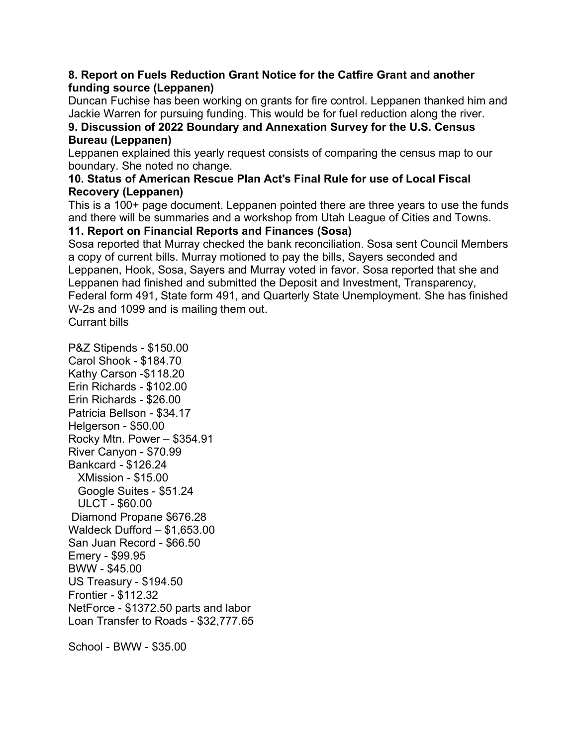### **8. Report on Fuels Reduction Grant Notice for the Catfire Grant and another funding source (Leppanen)**

Duncan Fuchise has been working on grants for fire control. Leppanen thanked him and Jackie Warren for pursuing funding. This would be for fuel reduction along the river.

#### **9. Discussion of 2022 Boundary and Annexation Survey for the U.S. Census Bureau (Leppanen)**

Leppanen explained this yearly request consists of comparing the census map to our boundary. She noted no change.

#### **10. Status of American Rescue Plan Act's Final Rule for use of Local Fiscal Recovery (Leppanen)**

This is a 100+ page document. Leppanen pointed there are three years to use the funds and there will be summaries and a workshop from Utah League of Cities and Towns.

# **11. Report on Financial Reports and Finances (Sosa)**

Sosa reported that Murray checked the bank reconciliation. Sosa sent Council Members a copy of current bills. Murray motioned to pay the bills, Sayers seconded and Leppanen, Hook, Sosa, Sayers and Murray voted in favor. Sosa reported that she and Leppanen had finished and submitted the Deposit and Investment, Transparency, Federal form 491, State form 491, and Quarterly State Unemployment. She has finished W-2s and 1099 and is mailing them out. Currant bills

P&Z Stipends - \$150.00 Carol Shook - \$184.70 Kathy Carson -\$118.20 Erin Richards - \$102.00 Erin Richards - \$26.00 Patricia Bellson - \$34.17 Helgerson - \$50.00 Rocky Mtn. Power – \$354.91 River Canyon - \$70.99 Bankcard - \$126.24 XMission - \$15.00 Google Suites - \$51.24 ULCT - \$60.00 Diamond Propane \$676.28 Waldeck Dufford – \$1,653.00 San Juan Record - \$66.50 Emery - \$99.95 BWW - \$45.00 US Treasury - \$194.50 Frontier - \$112.32 NetForce - \$1372.50 parts and labor Loan Transfer to Roads - \$32,777.65

School - BWW - \$35.00